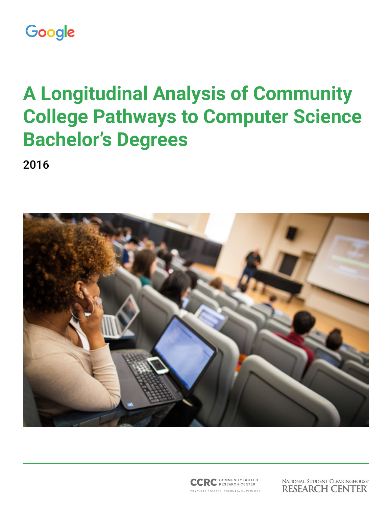# Google

# **A Longitudinal Analysis of Community College Pathways to Computer Science Bachelor's Degrees**

2016





NATIONAL STUDENT CLEARINGHOUSE® **RESEARCH CENTER**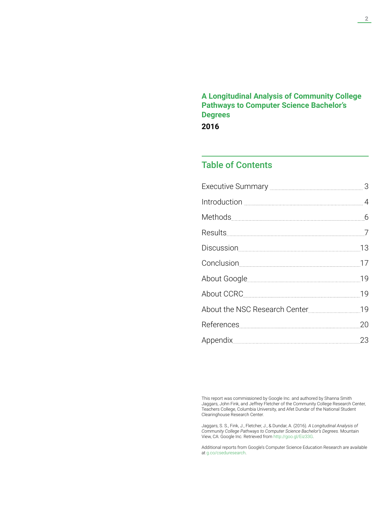**A Longitudinal Analysis of Community College Pathways to Computer Science Bachelor's Degrees**

**2016**

## Table of Contents

This report was commissioned by Google Inc. and authored by Shanna Smith Jaggars, John Fink, and Jeffrey Fletcher of the Community College Research Center, Teachers College, Columbia University, and Afet Dundar of the National Student Clearinghouse Research Center.

Jaggars, S. S., Fink, J., Fletcher, J., & Dundar, A. (2016). *A Longitudinal Analysis of Community College Pathways to Computer Science Bachelor's Degrees.* Mountain View, CA: Google Inc. Retrieved from [http://goo.gl/Eiz33G.](http://goo.gl/Eiz33G)

Additional reports from Google's Computer Science Education Research are available at [g.co/cseduresearch.](http://g.co/cseduresearch)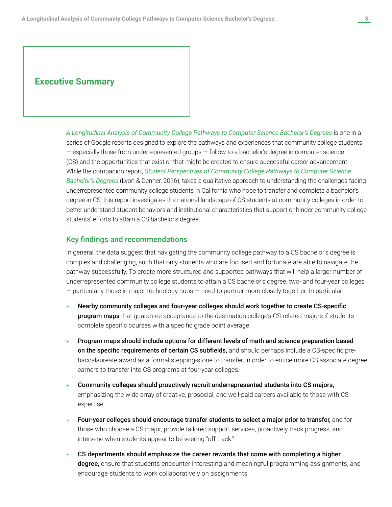### **Executive Summary**

A Longitudinal Analysis of Community College Pathways to Computer Science Bachelor's Degrees is one in a series of Google reports designed to explore the pathways and experiences that community college students — especially those from underrepresented groups — follow to a bachelor's degree in computer science (CS) and the opportunities that exist or that might be created to ensure successful career advancement. While the companion report, *Student Perspectives of Community College Pathways to Computer Science Bachelor's Degrees* (Lyon & Denner, 2016), takes a qualitative approach to understanding the challenges facing underrepresented community college students in California who hope to transfer and complete a bachelor's degree in CS, this report investigates the national landscape of CS students at community colleges in order to better understand student behaviors and institutional characteristics that support or hinder community college students' efforts to attain a CS bachelor's degree.

### Key findings and recommendations

In general, the data suggest that navigating the community college pathway to a CS bachelor's degree is complex and challenging, such that only students who are focused and fortunate are able to navigate the pathway successfully. To create more structured and supported pathways that will help a larger number of underrepresented community college students to attain a CS bachelor's degree, two- and four-year colleges — particularly those in major technology hubs — need to partner more closely together. In particular:

- » Nearby community colleges and four-year colleges should work together to create CS-specific program maps that guarantee acceptance to the destination college's CS-related majors if students complete specific courses with a specific grade point average.
- » Program maps should include options for different levels of math and science preparation based on the specific requirements of certain CS subfields, and should perhaps include a CS-specific prebaccalaureate award as a formal stepping-stone to transfer, in order to entice more CS associate degree earners to transfer into CS programs at four-year colleges.
- » Community colleges should proactively recruit underrepresented students into CS majors, emphasizing the wide array of creative, prosocial, and well-paid careers available to those with CS expertise.
- » Four-year colleges should encourage transfer students to select a major prior to transfer, and for those who choose a CS major, provide tailored support services, proactively track progress, and intervene when students appear to be veering "off track."
- » CS departments should emphasize the career rewards that come with completing a higher degree, ensure that students encounter interesting and meaningful programming assignments, and encourage students to work collaboratively on assignments.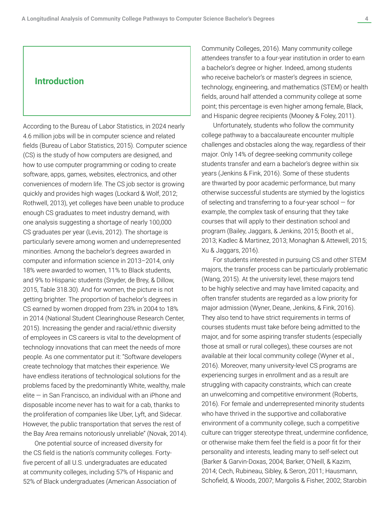### **Introduction**

According to the Bureau of Labor Statistics, in 2024 nearly 4.6 million jobs will be in computer science and related fields (Bureau of Labor Statistics, 2015). Computer science (CS) is the study of how computers are designed, and how to use computer programming or coding to create software, apps, games, websites, electronics, and other conveniences of modern life. The CS job sector is growing quickly and provides high wages (Lockard & Wolf, 2012; Rothwell, 2013), yet colleges have been unable to produce enough CS graduates to meet industry demand, with one analysis suggesting a shortage of nearly 100,000 CS graduates per year (Levis, 2012). The shortage is particularly severe among women and underrepresented minorities. Among the bachelor's degrees awarded in computer and information science in 2013–2014, only 18% were awarded to women, 11% to Black students, and 9% to Hispanic students (Snyder, de Brey, & Dillow, 2015, Table 318.30). And for women, the picture is not getting brighter. The proportion of bachelor's degrees in CS earned by women dropped from 23% in 2004 to 18% in 2014 (National Student Clearinghouse Research Center, 2015). Increasing the gender and racial/ethnic diversity of employees in CS careers is vital to the development of technology innovations that can meet the needs of more people. As one commentator put it: "Software developers create technology that matches their experience. We have endless iterations of technological solutions for the problems faced by the predominantly White, wealthy, male  $e$ lite  $-$  in San Francisco, an individual with an iPhone and disposable income never has to wait for a cab, thanks to the proliferation of companies like Uber, Lyft, and Sidecar. However, the public transportation that serves the rest of the Bay Area remains notoriously unreliable" (Novak, 2014).

One potential source of increased diversity for the CS field is the nation's community colleges. Fortyfive percent of all U.S. undergraduates are educated at community colleges, including 57% of Hispanic and 52% of Black undergraduates (American Association of Community Colleges, 2016). Many community college attendees transfer to a four-year institution in order to earn a bachelor's degree or higher. Indeed, among students who receive bachelor's or master's degrees in science, technology, engineering, and mathematics (STEM) or health fields, around half attended a community college at some point; this percentage is even higher among female, Black, and Hispanic degree recipients (Mooney & Foley, 2011).

Unfortunately, students who follow the community college pathway to a baccalaureate encounter multiple challenges and obstacles along the way, regardless of their major. Only 14% of degree-seeking community college students transfer and earn a bachelor's degree within six years (Jenkins & Fink, 2016). Some of these students are thwarted by poor academic performance, but many otherwise successful students are stymied by the logistics of selecting and transferring to a four-year school — for example, the complex task of ensuring that they take courses that will apply to their destination school and program (Bailey, Jaggars, & Jenkins, 2015; Booth et al., 2013; Kadlec & Martinez, 2013; Monaghan & Attewell, 2015; Xu & Jaggars, 2016).

For students interested in pursuing CS and other STEM majors, the transfer process can be particularly problematic (Wang, 2015). At the university level, these majors tend to be highly selective and may have limited capacity, and often transfer students are regarded as a low priority for major admission (Wyner, Deane, Jenkins, & Fink, 2016). They also tend to have strict requirements in terms of courses students must take before being admitted to the major, and for some aspiring transfer students (especially those at small or rural colleges), these courses are not available at their local community college (Wyner et al., 2016). Moreover, many university-level CS programs are experiencing surges in enrollment and as a result are struggling with capacity constraints, which can create an unwelcoming and competitive environment (Roberts, 2016). For female and underrepresented minority students who have thrived in the supportive and collaborative environment of a community college, such a competitive culture can trigger stereotype threat, undermine confidence, or otherwise make them feel the field is a poor fit for their personality and interests, leading many to self-select out (Barker & Garvin-Doxas, 2004; Barker, O'Neill, & Kazim, 2014; Cech, Rubineau, Sibley, & Seron, 2011; Hausmann, Schofield, & Woods, 2007; Margolis & Fisher, 2002; Starobin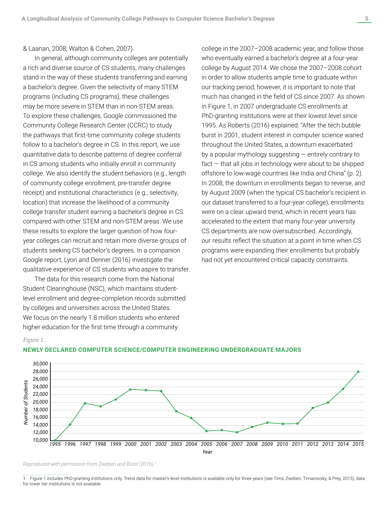& Laanan, 2008; Walton & Cohen, 2007).

In general, although community colleges are potentially a rich and diverse source of CS students, many challenges stand in the way of these students transferring and earning a bachelor's degree. Given the selectivity of many STEM programs (including CS programs), these challenges may be more severe in STEM than in non-STEM areas. To explore these challenges, Google commissioned the Community College Research Center (CCRC) to study the pathways that first-time community college students follow to a bachelor's degree in CS. In this report, we use quantitative data to describe patterns of degree conferral in CS among students who initially enroll in community college. We also identify the student behaviors (e.g., length of community college enrollment, pre-transfer degree receipt) and institutional characteristics (e.g., selectivity, location) that increase the likelihood of a community college transfer student earning a bachelor's degree in CS compared with other STEM and non-STEM areas. We use these results to explore the larger question of how fouryear colleges can recruit and retain more diverse groups of students seeking CS bachelor's degrees. In a companion Google report, Lyon and Denner (2016) investigate the qualitative experience of CS students who aspire to transfer.

The data for this research come from the National Student Clearinghouse (NSC), which maintains studentlevel enrollment and degree-completion records submitted by colleges and universities across the United States. We focus on the nearly 1.8 million students who entered higher education for the first time through a community

*Figure 1.*

college in the 2007–2008 academic year, and follow those who eventually earned a bachelor's degree at a four-year college by August 2014. We chose the 2007–2008 cohort in order to allow students ample time to graduate within our tracking period; however, it is important to note that much has changed in the field of CS since 2007. As shown in Figure 1, in 2007 undergraduate CS enrollments at PhD-granting institutions were at their lowest level since 1995. As Roberts (2016) explained: "After the tech bubble burst in 2001, student interest in computer science waned throughout the United States, a downturn exacerbated by a popular mythology suggesting — entirely contrary to  $fact - that$  all jobs in technology were about to be shipped offshore to low-wage countries like India and China" (p. 2). In 2008, the downturn in enrollments began to reverse, and by August 2009 (when the typical CS bachelor's recipient in our dataset transferred to a four-year college), enrollments were on a clear upward trend, which in recent years has accelerated to the extent that many four-year university CS departments are now oversubscribed. Accordingly, our results reflect the situation at a point in time when CS programs were expanding their enrollments but probably had not yet encountered critical capacity constraints.



#### **NEWLY DECLARED COMPUTER SCIENCE/COMPUTER ENGINEERING UNDERGRADUATE MAJORS**

*Reproduced with permission from Zweben and Bizot (2016).1* 

1 Figure 1 includes PhD-granting institutions only. Trend data for master's-level institutions is available only for three years (see Tims, Zweben, Timanovsky, & Prey, 2015); data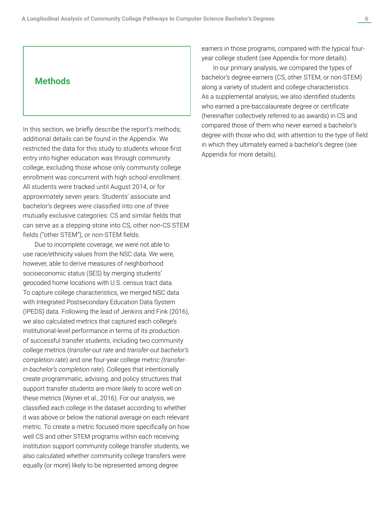### **Methods**

In this section, we briefly describe the report's methods; additional details can be found in the Appendix. We restricted the data for this study to students whose first entry into higher education was through community college, excluding those whose only community college enrollment was concurrent with high school enrollment. All students were tracked until August 2014, or for approximately seven years. Students' associate and bachelor's degrees were classified into one of three mutually exclusive categories: CS and similar fields that can serve as a stepping-stone into CS, other non-CS STEM fields ("other STEM"), or non-STEM fields.

Due to incomplete coverage, we were not able to use race/ethnicity values from the NSC data. We were, however, able to derive measures of neighborhood socioeconomic status (SES) by merging students' geocoded home locations with U.S. census tract data. To capture college characteristics, we merged NSC data with Integrated Postsecondary Education Data System (IPEDS) data. Following the lead of Jenkins and Fink (2016), we also calculated metrics that captured each college's institutional-level performance in terms of its production of successful transfer students, including two community college metrics (*transfer-out rate* and *transfer-out bachelor's completion rate*) and one four-year college metric *(transferin bachelor's completion rate*). Colleges that intentionally create programmatic, advising, and policy structures that support transfer students are more likely to score well on these metrics (Wyner et al., 2016). For our analysis, we classified each college in the dataset according to whether it was above or below the national average on each relevant metric. To create a metric focused more specifically on how well CS and other STEM programs within each receiving institution support community college transfer students, we also calculated whether community college transfers were equally (or more) likely to be represented among degree

earners in those programs, compared with the typical fouryear college student (see Appendix for more details).

In our primary analysis, we compared the types of bachelor's degree earners (CS, other STEM, or non-STEM) along a variety of student and college characteristics. As a supplemental analysis, we also identified students who earned a pre-baccalaureate degree or certificate (hereinafter collectively referred to as awards) in CS and compared those of them who never earned a bachelor's degree with those who did, with attention to the type of field in which they ultimately earned a bachelor's degree (see Appendix for more details).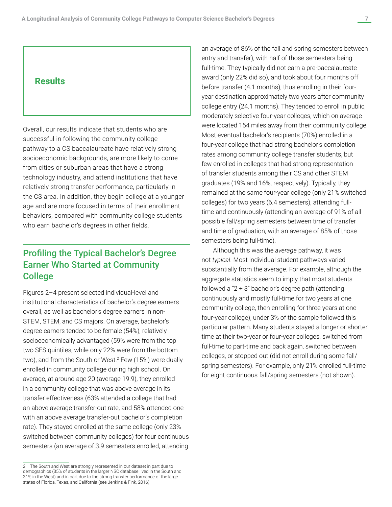Overall, our results indicate that students who are successful in following the community college pathway to a CS baccalaureate have relatively strong socioeconomic backgrounds, are more likely to come from cities or suburban areas that have a strong technology industry, and attend institutions that have relatively strong transfer performance, particularly in the CS area. In addition, they begin college at a younger age and are more focused in terms of their enrollment behaviors, compared with community college students who earn bachelor's degrees in other fields.

# Profiling the Typical Bachelor's Degree Earner Who Started at Community College

Figures 2–4 present selected individual-level and institutional characteristics of bachelor's degree earners overall, as well as bachelor's degree earners in non-STEM, STEM, and CS majors. On average, bachelor's degree earners tended to be female (54%), relatively socioeconomically advantaged (59% were from the top two SES quintiles, while only 22% were from the bottom two), and from the South or West.2 Few (15%) were dually enrolled in community college during high school. On average, at around age 20 (average 19.9), they enrolled in a community college that was above average in its transfer effectiveness (63% attended a college that had an above average transfer-out rate, and 58% attended one with an above average transfer-out bachelor's completion rate). They stayed enrolled at the same college (only 23% switched between community colleges) for four continuous semesters (an average of 3.9 semesters enrolled, attending

an average of 86% of the fall and spring semesters between entry and transfer), with half of those semesters being full-time. They typically did not earn a pre-baccalaureate award (only 22% did so), and took about four months off before transfer (4.1 months), thus enrolling in their fouryear destination approximately two years after community college entry (24.1 months). They tended to enroll in public, moderately selective four-year colleges, which on average were located 154 miles away from their community college. Most eventual bachelor's recipients (70%) enrolled in a four-year college that had strong bachelor's completion rates among community college transfer students, but few enrolled in colleges that had strong representation of transfer students among their CS and other STEM graduates (19% and 16%, respectively). Typically, they remained at the same four-year college (only 21% switched colleges) for two years (6.4 semesters), attending fulltime and continuously (attending an average of 91% of all possible fall/spring semesters between time of transfer and time of graduation, with an average of 85% of those semesters being full-time).

Although this was the *average* pathway, it was not *typical*. Most individual student pathways varied substantially from the average. For example, although the aggregate statistics seem to imply that most students followed a " $2 + 3$ " bachelor's degree path (attending continuously and mostly full-time for two years at one community college, then enrolling for three years at one four-year college), under 3% of the sample followed this particular pattern. Many students stayed a longer or shorter time at their two-year or four-year colleges, switched from full-time to part-time and back again, switched between colleges, or stopped out (did not enroll during some fall/ spring semesters). For example, only 21% enrolled full-time for eight continuous fall/spring semesters (not shown).

<sup>2</sup> The South and West are strongly represented in our dataset in part due to demographics (35% of students in the larger NSC database lived in the South and 31% in the West) and in part due to the strong transfer performance of the large states of Florida, Texas, and California (see Jenkins & Fink, 2016).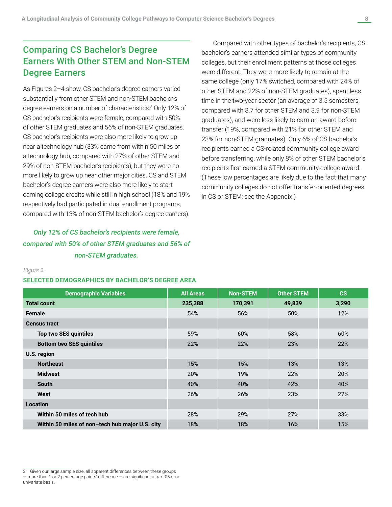# Comparing CS Bachelor's Degree Earners With Other STEM and Non-STEM Degree Earners

As Figures 2–4 show, CS bachelor's degree earners varied substantially from other STEM and non-STEM bachelor's degree earners on a number of characteristics.<sup>3</sup> Only 12% of CS bachelor's recipients were female, compared with 50% of other STEM graduates and 56% of non-STEM graduates. CS bachelor's recipients were also more likely to grow up near a technology hub (33% came from within 50 miles of a technology hub, compared with 27% of other STEM and 29% of non-STEM bachelor's recipients), but they were no more likely to grow up near other major cities. CS and STEM bachelor's degree earners were also more likely to start earning college credits while still in high school (18% and 19% respectively had participated in dual enrollment programs, compared with 13% of non-STEM bachelor's degree earners).

# *Only 12% of CS bachelor's recipients were female, compared with 50% of other STEM graduates and 56% of non-STEM graduates.*

Compared with other types of bachelor's recipients, CS bachelor's earners attended similar types of community colleges, but their enrollment patterns at those colleges were different. They were more likely to remain at the same college (only 17% switched, compared with 24% of other STEM and 22% of non-STEM graduates), spent less time in the two-year sector (an average of 3.5 semesters, compared with 3.7 for other STEM and 3.9 for non-STEM graduates), and were less likely to earn an award before transfer (19%, compared with 21% for other STEM and 23% for non-STEM graduates). Only 6% of CS bachelor's recipients earned a CS-related community college award before transferring, while only 8% of other STEM bachelor's recipients first earned a STEM community college award. (These low percentages are likely due to the fact that many community colleges do not offer transfer-oriented degrees in CS or STEM; see the Appendix.)

#### *Figure 2.*

#### **SELECTED DEMOGRAPHICS BY BACHELOR'S DEGREE AREA**

| <b>Demographic Variables</b>                    | <b>All Areas</b> | <b>Non-STEM</b> | <b>Other STEM</b> | CS    |
|-------------------------------------------------|------------------|-----------------|-------------------|-------|
| <b>Total count</b>                              | 235,388          | 170,391         | 49,839            | 3,290 |
| <b>Female</b>                                   | 54%              | 56%             | 50%               | 12%   |
| <b>Census tract</b>                             |                  |                 |                   |       |
| <b>Top two SES quintiles</b>                    | 59%              | 60%             | 58%               | 60%   |
| <b>Bottom two SES quintiles</b>                 | 22%              | 22%             | 23%               | 22%   |
| U.S. region                                     |                  |                 |                   |       |
| <b>Northeast</b>                                | 15%              | 15%             | 13%               | 13%   |
| <b>Midwest</b>                                  | 20%              | 19%             | 22%               | 20%   |
| <b>South</b>                                    | 40%              | 40%             | 42%               | 40%   |
| West                                            | 26%              | 26%             | 23%               | 27%   |
| <b>Location</b>                                 |                  |                 |                   |       |
| Within 50 miles of tech hub                     | 28%              | 29%             | 27%               | 33%   |
| Within 50 miles of non-tech hub major U.S. city | 18%              | 18%             | 16%               | 15%   |

<sup>3</sup> Given our large sample size, all apparent differences between these groups — more than 1 or 2 percentage points' difference — are significant at *p* < .05 on a univariate basis.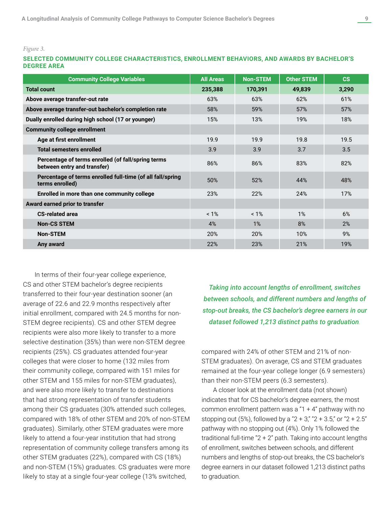*Figure 3.*

#### **SELECTED COMMUNITY COLLEGE CHARACTERISTICS, ENROLLMENT BEHAVIORS, AND AWARDS BY BACHELOR'S DEGREE AREA**

| <b>Community College Variables</b>                                                | <b>All Areas</b> | <b>Non-STEM</b> | <b>Other STEM</b> | $\mathbf{c}\mathbf{s}$ |
|-----------------------------------------------------------------------------------|------------------|-----------------|-------------------|------------------------|
| <b>Total count</b>                                                                | 235,388          | 170,391         | 49,839            | 3,290                  |
| Above average transfer-out rate                                                   | 63%              | 63%             | 62%               | 61%                    |
| Above average transfer-out bachelor's completion rate                             | 58%              | 59%             | 57%               | 57%                    |
| Dually enrolled during high school (17 or younger)                                | 15%              | 13%             | 19%               | 18%                    |
| <b>Community college enrollment</b>                                               |                  |                 |                   |                        |
| Age at first enrollment                                                           | 19.9             | 19.9            | 19.8              | 19.5                   |
| <b>Total semesters enrolled</b>                                                   | 3.9              | 3.9             | 3.7               | 3.5                    |
| Percentage of terms enrolled (of fall/spring terms<br>between entry and transfer) | 86%              | 86%             | 83%               | 82%                    |
| Percentage of terms enrolled full-time (of all fall/spring<br>terms enrolled)     | 50%              | 52%             | 44%               | 48%                    |
| Enrolled in more than one community college                                       | 23%              | 22%             | 24%               | 17%                    |
| Award earned prior to transfer                                                    |                  |                 |                   |                        |
| <b>CS-related area</b>                                                            | $< 1\%$          | $< 1\%$         | 1%                | 6%                     |
| <b>Non-CS STEM</b>                                                                | 4%               | 1%              | 8%                | 2%                     |
| <b>Non-STEM</b>                                                                   | 20%              | 20%             | 10%               | 9%                     |
| Any award                                                                         | 22%              | 23%             | 21%               | 19%                    |

In terms of their four-year college experience, CS and other STEM bachelor's degree recipients transferred to their four-year destination sooner (an average of 22.6 and 22.9 months respectively after initial enrollment, compared with 24.5 months for non-STEM degree recipients). CS and other STEM degree recipients were also more likely to transfer to a more selective destination (35%) than were non-STEM degree recipients (25%). CS graduates attended four-year colleges that were closer to home (132 miles from their community college, compared with 151 miles for other STEM and 155 miles for non-STEM graduates), and were also more likely to transfer to destinations that had strong representation of transfer students among their CS graduates (30% attended such colleges, compared with 18% of other STEM and 20% of non-STEM graduates). Similarly, other STEM graduates were more likely to attend a four-year institution that had strong representation of community college transfers among its other STEM graduates (22%), compared with CS (18%) and non-STEM (15%) graduates. CS graduates were more likely to stay at a single four-year college (13% switched,

*Taking into account lengths of enrollment, switches between schools, and different numbers and lengths of stop-out breaks, the CS bachelor's degree earners in our dataset followed 1,213 distinct paths to graduation.*

compared with 24% of other STEM and 21% of non-STEM graduates). On average, CS and STEM graduates remained at the four-year college longer (6.9 semesters) than their non-STEM peers (6.3 semesters).

A closer look at the enrollment data (not shown) indicates that for CS bachelor's degree earners, the most common enrollment pattern was a "1  $+$  4" pathway with no stopping out (5%), followed by a "2 + 3," "2 + 3.5," or "2 + 2.5" pathway with no stopping out (4%). Only 1% followed the traditional full-time "2 + 2" path. Taking into account lengths of enrollment, switches between schools, and different numbers and lengths of stop-out breaks, the CS bachelor's degree earners in our dataset followed 1,213 distinct paths to graduation.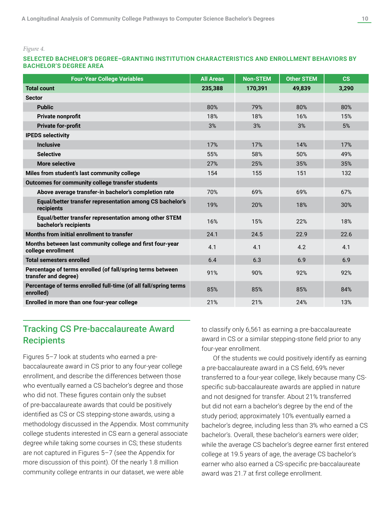*Figure 4.*

#### **SELECTED BACHELOR'S DEGREE–GRANTING INSTITUTION CHARACTERISTICS AND ENROLLMENT BEHAVIORS BY BACHELOR'S DEGREE AREA**

| <b>Four-Year College Variables</b>                                                 | <b>All Areas</b> | <b>Non-STEM</b> | <b>Other STEM</b> | $\mathbf{c}\mathbf{s}$ |
|------------------------------------------------------------------------------------|------------------|-----------------|-------------------|------------------------|
| <b>Total count</b>                                                                 | 235,388          | 170,391         | 49,839            | 3,290                  |
| <b>Sector</b>                                                                      |                  |                 |                   |                        |
| <b>Public</b>                                                                      | 80%              | 79%             | 80%               | 80%                    |
| Private nonprofit                                                                  | 18%              | 18%             | 16%               | 15%                    |
| <b>Private for-profit</b>                                                          | 3%               | 3%              | 3%                | 5%                     |
| <b>IPEDS selectivity</b>                                                           |                  |                 |                   |                        |
| <b>Inclusive</b>                                                                   | 17%              | 17%             | 14%               | 17%                    |
| <b>Selective</b>                                                                   | 55%              | 58%             | 50%               | 49%                    |
| <b>More selective</b>                                                              | 27%              | 25%             | 35%               | 35%                    |
| Miles from student's last community college                                        | 154              | 155             | 151               | 132                    |
| Outcomes for community college transfer students                                   |                  |                 |                   |                        |
| Above average transfer-in bachelor's completion rate                               | 70%              | 69%             | 69%               | 67%                    |
| Equal/better transfer representation among CS bachelor's<br>recipients             | 19%              | 20%             | 18%               | 30%                    |
| Equal/better transfer representation among other STEM<br>bachelor's recipients     | 16%              | 15%             | 22%               | 18%                    |
| Months from initial enrollment to transfer                                         | 24.1             | 24.5            | 22.9              | 22.6                   |
| Months between last community college and first four-year<br>college enrollment    | 4.1              | 4.1             | 4.2               | 4.1                    |
| <b>Total semesters enrolled</b>                                                    | 6.4              | 6.3             | 6.9               | 6.9                    |
| Percentage of terms enrolled (of fall/spring terms between<br>transfer and degree) | 91%              | 90%             | 92%               | 92%                    |
| Percentage of terms enrolled full-time (of all fall/spring terms<br>enrolled)      | 85%              | 85%             | 85%               | 84%                    |
| Enrolled in more than one four-year college                                        | 21%              | 21%             | 24%               | 13%                    |

# Tracking CS Pre-baccalaureate Award **Recipients**

Figures 5–7 look at students who earned a prebaccalaureate award in CS prior to any four-year college enrollment, and describe the differences between those who eventually earned a CS bachelor's degree and those who did not. These figures contain only the subset of pre-baccalaureate awards that could be positively identified as CS or CS stepping-stone awards, using a methodology discussed in the Appendix. Most community college students interested in CS earn a general associate degree while taking some courses in CS; these students are not captured in Figures 5–7 (see the Appendix for more discussion of this point). Of the nearly 1.8 million community college entrants in our dataset, we were able

to classify only 6,561 as earning a pre-baccalaureate award in CS or a similar stepping-stone field prior to any four-year enrollment.

Of the students we could positively identify as earning a pre-baccalaureate award in a CS field, 69% never transferred to a four-year college, likely because many CSspecific sub-baccalaureate awards are applied in nature and not designed for transfer. About 21% transferred but did not earn a bachelor's degree by the end of the study period; approximately 10% eventually earned a bachelor's degree, including less than 3% who earned a CS bachelor's. Overall, these bachelor's earners were older; while the average CS bachelor's degree earner first entered college at 19.5 years of age, the average CS bachelor's earner who also earned a CS-specific pre-baccalaureate award was 21.7 at first college enrollment.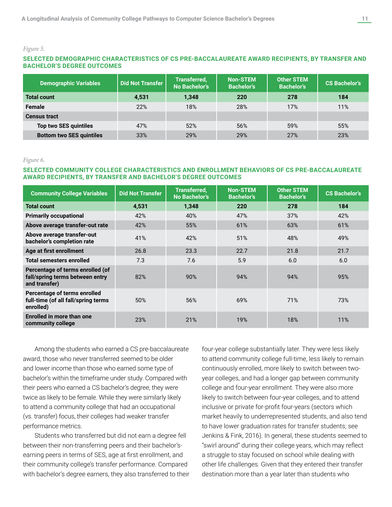#### *Figure 5.*

#### **SELECTED DEMOGRAPHIC CHARACTERISTICS OF CS PRE-BACCALAUREATE AWARD RECIPIENTS, BY TRANSFER AND BACHELOR'S DEGREE OUTCOMES**

| <b>Demographic Variables</b>    | <b>Did Not Transfer</b> | <b>Transferred,</b><br><b>No Bachelor's</b> | <b>Non-STEM</b><br><b>Bachelor's</b> | <b>Other STEM</b><br><b>Bachelor's</b> | <b>CS Bachelor's</b> |
|---------------------------------|-------------------------|---------------------------------------------|--------------------------------------|----------------------------------------|----------------------|
| <b>Total count</b>              | 4,531                   | 1,348                                       | 220                                  | 278                                    | 184                  |
| Female                          | 22%                     | 18%                                         | 28%                                  | 17%                                    | 11%                  |
| <b>Census tract</b>             |                         |                                             |                                      |                                        |                      |
| Top two SES quintiles           | 47%                     | 52%                                         | 56%                                  | 59%                                    | 55%                  |
| <b>Bottom two SES quintiles</b> | 33%                     | 29%                                         | 29%                                  | 27%                                    | 23%                  |

#### *Figure 6.*

### **SELECTED COMMUNITY COLLEGE CHARACTERISTICS AND ENROLLMENT BEHAVIORS OF CS PRE-BACCALAUREATE AWARD RECIPIENTS, BY TRANSFER AND BACHELOR'S DEGREE OUTCOMES**

| <b>Community College Variables</b>                                                   | <b>Did Not Transfer</b> | <b>Transferred,</b><br><b>No Bachelor's</b> | <b>Non-STEM</b><br><b>Bachelor's</b> | <b>Other STEM</b><br><b>Bachelor's</b> | <b>CS Bachelor's</b> |
|--------------------------------------------------------------------------------------|-------------------------|---------------------------------------------|--------------------------------------|----------------------------------------|----------------------|
| <b>Total count</b>                                                                   | 4,531                   | 1,348                                       | 220                                  | 278                                    | 184                  |
| <b>Primarily occupational</b>                                                        | 42%                     | 40%                                         | 47%                                  | 37%                                    | 42%                  |
| Above average transfer-out rate                                                      | 42%                     | 55%                                         | 61%                                  | 63%                                    | 61%                  |
| Above average transfer-out<br>bachelor's completion rate                             | 41%                     | 42%                                         | 51%                                  | 48%                                    | 49%                  |
| Age at first enrollment                                                              | 26.8                    | 23.3                                        | 22.7                                 | 21.8                                   | 21.7                 |
| <b>Total semesters enrolled</b>                                                      | 7.3                     | 7.6                                         | 5.9                                  | 6.0                                    | 6.0                  |
| Percentage of terms enrolled (of<br>fall/spring terms between entry<br>and transfer) | 82%                     | 90%                                         | 94%                                  | 94%                                    | 95%                  |
| Percentage of terms enrolled<br>full-time (of all fall/spring terms<br>enrolled)     | 50%                     | 56%                                         | 69%                                  | 71%                                    | 73%                  |
| Enrolled in more than one<br>community college                                       | 23%                     | 21%                                         | 19%                                  | 18%                                    | 11%                  |

Among the students who earned a CS pre-baccalaureate award, those who never transferred seemed to be older and lower income than those who earned some type of bachelor's within the timeframe under study. Compared with their peers who earned a CS bachelor's degree, they were twice as likely to be female. While they were similarly likely to attend a community college that had an occupational (vs. transfer) focus, their colleges had weaker transfer performance metrics.

Students who transferred but did not earn a degree fell between their non-transferring peers and their bachelor'searning peers in terms of SES, age at first enrollment, and their community college's transfer performance. Compared with bachelor's degree earners, they also transferred to their four-year college substantially later. They were less likely to attend community college full-time, less likely to remain continuously enrolled, more likely to switch between twoyear colleges, and had a longer gap between community college and four-year enrollment. They were also more likely to switch between four-year colleges, and to attend inclusive or private for-profit four-years (sectors which market heavily to underrepresented students, and also tend to have lower graduation rates for transfer students; see Jenkins & Fink, 2016). In general, these students seemed to "swirl around" during their college years, which may reflect a struggle to stay focused on school while dealing with other life challenges. Given that they entered their transfer destination more than a year later than students who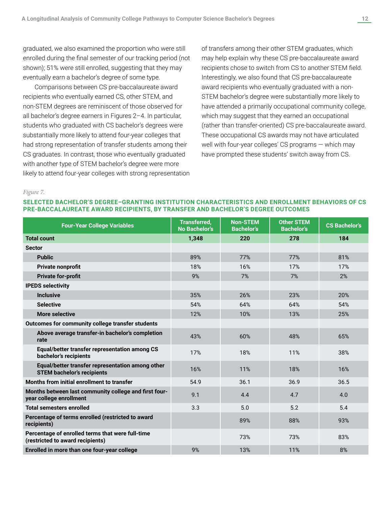graduated, we also examined the proportion who were still enrolled during the final semester of our tracking period (not shown); 51% were still enrolled, suggesting that they may eventually earn a bachelor's degree of some type.

Comparisons between CS pre-baccalaureate award recipients who eventually earned CS, other STEM, and non-STEM degrees are reminiscent of those observed for all bachelor's degree earners in Figures 2–4. In particular, students who graduated with CS bachelor's degrees were substantially more likely to attend four-year colleges that had strong representation of transfer students among their CS graduates. In contrast, those who eventually graduated with another type of STEM bachelor's degree were more likely to attend four-year colleges with strong representation of transfers among their other STEM graduates, which may help explain why these CS pre-baccalaureate award recipients chose to switch from CS to another STEM field. Interestingly, we also found that CS pre-baccalaureate award recipients who eventually graduated with a non-STEM bachelor's degree were substantially more likely to have attended a primarily occupational community college, which may suggest that they earned an occupational (rather than transfer-oriented) CS pre-baccalaureate award. These occupational CS awards may not have articulated well with four-year colleges' CS programs — which may have prompted these students' switch away from CS.

*Figure 7.*

#### **SELECTED BACHELOR'S DEGREE–GRANTING INSTITUTION CHARACTERISTICS AND ENROLLMENT BEHAVIORS OF CS PRE-BACCALAUREATE AWARD RECIPIENTS, BY TRANSFER AND BACHELOR'S DEGREE OUTCOMES**

| <b>Four-Year College Variables</b>                                                    | <b>Transferred,</b><br>No Bachelor's | <b>Non-STEM</b><br><b>Bachelor's</b> | <b>Other STEM</b><br><b>Bachelor's</b> | <b>CS Bachelor's</b> |
|---------------------------------------------------------------------------------------|--------------------------------------|--------------------------------------|----------------------------------------|----------------------|
| <b>Total count</b>                                                                    | 1,348                                | 220                                  | 278                                    | 184                  |
| <b>Sector</b>                                                                         |                                      |                                      |                                        |                      |
| <b>Public</b>                                                                         | 89%                                  | 77%                                  | 77%                                    | 81%                  |
| Private nonprofit                                                                     | 18%                                  | 16%                                  | 17%                                    | 17%                  |
| <b>Private for-profit</b>                                                             | 9%                                   | 7%                                   | 7%                                     | 2%                   |
| <b>IPEDS selectivity</b>                                                              |                                      |                                      |                                        |                      |
| <b>Inclusive</b>                                                                      | 35%                                  | 26%                                  | 23%                                    | 20%                  |
| <b>Selective</b>                                                                      | 54%                                  | 64%                                  | 64%                                    | 54%                  |
| <b>More selective</b>                                                                 | 12%                                  | 10%                                  | 13%                                    | 25%                  |
| Outcomes for community college transfer students                                      |                                      |                                      |                                        |                      |
| Above average transfer-in bachelor's completion<br>rate                               | 43%                                  | 60%                                  | 48%                                    | 65%                  |
| Equal/better transfer representation among CS<br>bachelor's recipients                | 17%                                  | 18%                                  | 11%                                    | 38%                  |
| Equal/better transfer representation among other<br><b>STEM bachelor's recipients</b> | 16%                                  | 11%                                  | 18%                                    | 16%                  |
| Months from initial enrollment to transfer                                            | 54.9                                 | 36.1                                 | 36.9                                   | 36.5                 |
| Months between last community college and first four-<br>year college enrollment      | 9.1                                  | 4.4                                  | 4.7                                    | 4.0                  |
| <b>Total semesters enrolled</b>                                                       | 3.3                                  | 5.0                                  | 5.2                                    | 5.4                  |
| Percentage of terms enrolled (restricted to award<br>recipients)                      |                                      | 89%                                  | 88%                                    | 93%                  |
| Percentage of enrolled terms that were full-time<br>(restricted to award recipients)  |                                      | 73%                                  | 73%                                    | 83%                  |
| Enrolled in more than one four-year college                                           | 9%                                   | 13%                                  | 11%                                    | 8%                   |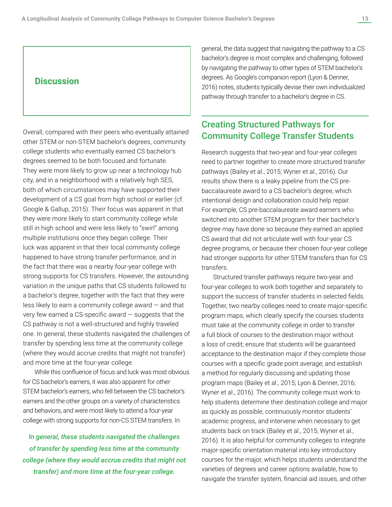### **Discussion**

Overall, compared with their peers who eventually attained other STEM or non-STEM bachelor's degrees, community college students who eventually earned CS bachelor's degrees seemed to be both focused and fortunate. They were more likely to grow up near a technology hub city, and in a neighborhood with a relatively high SES, both of which circumstances may have supported their development of a CS goal from high school or earlier (cf. Google & Gallup, 2015). Their focus was apparent in that they were more likely to start community college while still in high school and were less likely to "swirl" among multiple institutions once they began college. Their luck was apparent in that their local community college happened to have strong transfer performance, and in the fact that there was a nearby four-year college with strong supports for CS transfers. However, the astounding variation in the unique paths that CS students followed to a bachelor's degree, together with the fact that they were less likely to earn a community college award — and that very few earned a CS-specific award — suggests that the CS pathway is not a well-structured and highly traveled one. In general, these students navigated the challenges of transfer by spending less time at the community college (where they would accrue credits that might not transfer) and more time at the four-year college.

While this confluence of focus and luck was most obvious for CS bachelor's earners, it was also apparent for other STEM bachelor's earners, who fell between the CS bachelor's earners and the other groups on a variety of characteristics and behaviors, and were most likely to attend a four-year college with strong supports for non-CS STEM transfers. In

*In general, these students navigated the challenges of transfer by spending less time at the community college (where they would accrue credits that might not transfer) and more time at the four-year college.*

general, the data suggest that navigating the pathway to a CS bachelor's degree is most complex and challenging, followed by navigating the pathway to other types of STEM bachelor's degrees. As Google's companion report (Lyon & Denner, 2016) notes, students typically devise their own individualized pathway through transfer to a bachelor's degree in CS.

# Creating Structured Pathways for Community College Transfer Students

Research suggests that two-year and four-year colleges need to partner together to create more structured transfer pathways (Bailey et al., 2015; Wyner et al., 2016). Our results show there is a leaky pipeline from the CS prebaccalaureate award to a CS bachelor's degree, which intentional design and collaboration could help repair. For example, CS pre-baccalaureate award earners who switched into another STEM program for their bachelor's degree may have done so because they earned an applied CS award that did not articulate well with four-year CS degree programs, or because their chosen four-year college had stronger supports for other STEM transfers than for CS transfers.

Structured transfer pathways require two-year and four-year colleges to work both together and separately to support the success of transfer students in selected fields. Together, two nearby colleges need to create major-specific program maps, which clearly specify the courses students must take at the community college in order to transfer a full block of courses to the destination major without a loss of credit; ensure that students will be guaranteed acceptance to the destination major if they complete those courses with a specific grade point average; and establish a method for regularly discussing and updating those program maps (Bailey et al., 2015; Lyon & Denner, 2016; Wyner et al., 2016). The community college must work to help students determine their destination college and major as quickly as possible, continuously monitor students' academic progress, and intervene when necessary to get students back on track (Bailey et al., 2015; Wyner et al., 2016). It is also helpful for community colleges to integrate major-specific orientation material into key introductory courses for the major, which helps students understand the varieties of degrees and career options available, how to navigate the transfer system, financial aid issues, and other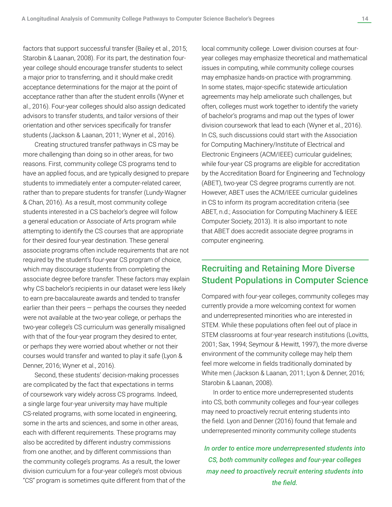factors that support successful transfer (Bailey et al., 2015; Starobin & Laanan, 2008). For its part, the destination fouryear college should encourage transfer students to select a major prior to transferring, and it should make credit acceptance determinations for the major at the point of acceptance rather than after the student enrolls (Wyner et al., 2016). Four-year colleges should also assign dedicated advisors to transfer students, and tailor versions of their orientation and other services specifically for transfer students (Jackson & Laanan, 2011; Wyner et al., 2016).

Creating structured transfer pathways in CS may be more challenging than doing so in other areas, for two reasons. First, community college CS programs tend to have an applied focus, and are typically designed to prepare students to immediately enter a computer-related career, rather than to prepare students for transfer (Lundy-Wagner & Chan, 2016). As a result, most community college students interested in a CS bachelor's degree will follow a general education or Associate of Arts program while attempting to identify the CS courses that are appropriate for their desired four-year destination. These general associate programs often include requirements that are not required by the student's four-year CS program of choice, which may discourage students from completing the associate degree before transfer. These factors may explain why CS bachelor's recipients in our dataset were less likely to earn pre-baccalaureate awards and tended to transfer earlier than their peers  $-$  perhaps the courses they needed were not available at the two-year college, or perhaps the two-year college's CS curriculum was generally misaligned with that of the four-year program they desired to enter, or perhaps they were worried about whether or not their courses would transfer and wanted to play it safe (Lyon & Denner, 2016; Wyner et al., 2016).

Second, these students' decision-making processes are complicated by the fact that expectations in terms of coursework vary widely across CS programs. Indeed, a single large four-year university may have multiple CS-related programs, with some located in engineering, some in the arts and sciences, and some in other areas, each with different requirements. These programs may also be accredited by different industry commissions from one another, and by different commissions than the community college's programs. As a result, the lower division curriculum for a four-year college's most obvious "CS" program is sometimes quite different from that of the local community college. Lower division courses at fouryear colleges may emphasize theoretical and mathematical issues in computing, while community college courses may emphasize hands-on practice with programming. In some states, major-specific statewide articulation agreements may help ameliorate such challenges, but often, colleges must work together to identify the variety of bachelor's programs and map out the types of lower division coursework that lead to each (Wyner et al., 2016). In CS, such discussions could start with the Association for Computing Machinery/Institute of Electrical and Electronic Engineers (ACM/IEEE) curricular guidelines; while four-year CS programs are eligible for accreditation by the Accreditation Board for Engineering and Technology (ABET), two-year CS degree programs currently are not. However, ABET uses the ACM/IEEE curricular guidelines in CS to inform its program accreditation criteria (see ABET, n.d.; Association for Computing Machinery & IEEE Computer Society, 2013). It is also important to note that ABET does accredit associate degree programs in computer engineering.

# Recruiting and Retaining More Diverse Student Populations in Computer Science

Compared with four-year colleges, community colleges may currently provide a more welcoming context for women and underrepresented minorities who are interested in STEM. While these populations often feel out of place in STEM classrooms at four-year research institutions (Lovitts, 2001; Sax, 1994; Seymour & Hewitt, 1997), the more diverse environment of the community college may help them feel more welcome in fields traditionally dominated by White men (Jackson & Laanan, 2011; Lyon & Denner, 2016; Starobin & Laanan, 2008).

In order to entice more underrepresented students into CS, both community colleges and four-year colleges may need to proactively recruit entering students into the field. Lyon and Denner (2016) found that female and underrepresented minority community college students

*In order to entice more underrepresented students into CS, both community colleges and four-year colleges may need to proactively recruit entering students into the field.*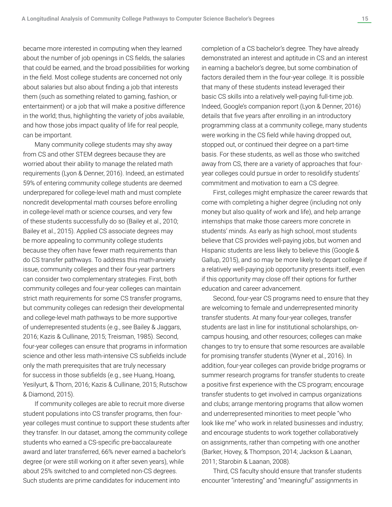became more interested in computing when they learned about the number of job openings in CS fields, the salaries that could be earned, and the broad possibilities for working in the field. Most college students are concerned not only about salaries but also about finding a job that interests them (such as something related to gaming, fashion, or entertainment) or a job that will make a positive difference in the world; thus, highlighting the variety of jobs available, and how those jobs impact quality of life for real people, can be important.

Many community college students may shy away from CS and other STEM degrees because they are worried about their ability to manage the related math requirements (Lyon & Denner, 2016). Indeed, an estimated 59% of entering community college students are deemed underprepared for college-level math and must complete noncredit developmental math courses before enrolling in college-level math or science courses, and very few of these students successfully do so (Bailey et al., 2010; Bailey et al., 2015). Applied CS associate degrees may be more appealing to community college students because they often have fewer math requirements than do CS transfer pathways. To address this math-anxiety issue, community colleges and their four-year partners can consider two complementary strategies. First, both community colleges and four-year colleges can maintain strict math requirements for some CS transfer programs, but community colleges can redesign their developmental and college-level math pathways to be more supportive of underrepresented students (e.g., see Bailey & Jaggars, 2016; Kazis & Cullinane, 2015; Treisman, 1985). Second, four-year colleges can ensure that programs in information science and other less math-intensive CS subfields include only the math prerequisites that are truly necessary for success in those subfields (e.g., see Huang, Hoang, Yesilyurt, & Thorn, 2016; Kazis & Cullinane, 2015; Rutschow & Diamond, 2015).

If community colleges are able to recruit more diverse student populations into CS transfer programs, then fouryear colleges must continue to support these students after they transfer. In our dataset, among the community college students who earned a CS-specific pre-baccalaureate award and later transferred, 66% never earned a bachelor's degree (or were still working on it after seven years), while about 25% switched to and completed non-CS degrees. Such students are prime candidates for inducement into

completion of a CS bachelor's degree. They have already demonstrated an interest and aptitude in CS and an interest in earning a bachelor's degree, but some combination of factors derailed them in the four-year college. It is possible that many of these students instead leveraged their basic CS skills into a relatively well-paying full-time job. Indeed, Google's companion report (Lyon & Denner, 2016) details that five years after enrolling in an introductory programming class at a community college, many students were working in the CS field while having dropped out, stopped out, or continued their degree on a part-time basis. For these students, as well as those who switched away from CS, there are a variety of approaches that fouryear colleges could pursue in order to resolidify students' commitment and motivation to earn a CS degree.

First, colleges might emphasize the career rewards that come with completing a higher degree (including not only money but also quality of work and life), and help arrange internships that make those careers more concrete in students' minds. As early as high school, most students believe that CS provides well-paying jobs, but women and Hispanic students are less likely to believe this (Google & Gallup, 2015), and so may be more likely to depart college if a relatively well-paying job opportunity presents itself, even if this opportunity may close off their options for further education and career advancement.

Second, four-year CS programs need to ensure that they are welcoming to female and underrepresented minority transfer students. At many four-year colleges, transfer students are last in line for institutional scholarships, oncampus housing, and other resources; colleges can make changes to try to ensure that some resources are available for promising transfer students (Wyner et al., 2016). In addition, four-year colleges can provide bridge programs or summer research programs for transfer students to create a positive first experience with the CS program; encourage transfer students to get involved in campus organizations and clubs; arrange mentoring programs that allow women and underrepresented minorities to meet people "who look like me" who work in related businesses and industry; and encourage students to work together collaboratively on assignments, rather than competing with one another (Barker, Hovey, & Thompson, 2014; Jackson & Laanan, 2011; Starobin & Laanan, 2008).

Third, CS faculty should ensure that transfer students encounter "interesting" and "meaningful" assignments in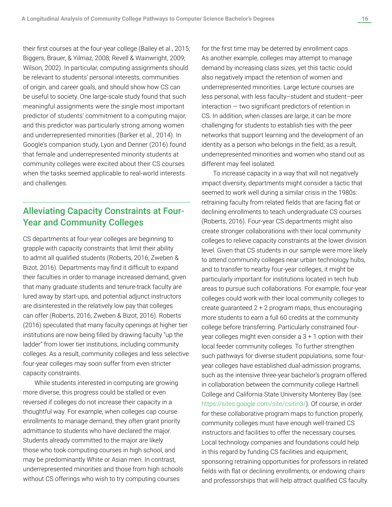their first courses at the four-year college (Bailey et al., 2015; Biggers, Brauer, & Yilmaz, 2008; Revell & Wainwright, 2009; Wilson, 2002). In particular, computing assignments should be relevant to students' personal interests, communities of origin, and career goals, and should show how CS can be useful to society. One large-scale study found that such meaningful assignments were the single most important predictor of students' commitment to a computing major, and this predictor was particularly strong among women and underrepresented minorities (Barker et al., 2014). In Google's companion study, Lyon and Denner (2016) found that female and underrepresented minority students at community colleges were excited about their CS courses when the tasks seemed applicable to real-world interests and challenges.

# Alleviating Capacity Constraints at Four-Year and Community Colleges

CS departments at four-year colleges are beginning to grapple with capacity constraints that limit their ability to admit all qualified students (Roberts, 2016; Zweben & Bizot, 2016). Departments may find it difficult to expand their faculties in order to manage increased demand, given that many graduate students and tenure-track faculty are lured away by start-ups, and potential adjunct instructors are disinterested in the relatively low pay that colleges can offer (Roberts, 2016; Zweben & Bizot, 2016). Roberts (2016) speculated that many faculty openings at higher tier institutions are now being filled by drawing faculty "up the ladder" from lower tier institutions, including community colleges. As a result, community colleges and less selective four-year colleges may soon suffer from even stricter capacity constraints.

While students interested in computing are growing more diverse, this progress could be stalled or even reversed if colleges do not increase their capacity in a thoughtful way. For example, when colleges cap course enrollments to manage demand, they often grant priority admittance to students who have declared the major. Students already committed to the major are likely those who took computing courses in high school, and may be predominantly White or Asian men. In contrast, underrepresented minorities and those from high schools without CS offerings who wish to try computing courses

for the first time may be deterred by enrollment caps. As another example, colleges may attempt to manage demand by increasing class sizes, yet this tactic could also negatively impact the retention of women and underrepresented minorities. Large lecture courses are less personal, with less faculty–student and student–peer interaction — two significant predictors of retention in CS. In addition, when classes are large, it can be more challenging for students to establish ties with the peer networks that support learning and the development of an identity as a person who belongs in the field; as a result, underrepresented minorities and women who stand out as different may feel isolated.

To increase capacity in a way that will not negatively impact diversity, departments might consider a tactic that seemed to work well during a similar crisis in the 1980s: retraining faculty from related fields that are facing flat or declining enrollments to teach undergraduate CS courses (Roberts, 2016). Four-year CS departments might also create stronger collaborations with their local community colleges to relieve capacity constraints at the lower division level. Given that CS students in our sample were more likely to attend community colleges near urban technology hubs, and to transfer to nearby four-year colleges, it might be particularly important for institutions located in tech hub areas to pursue such collaborations. For example, four-year colleges could work with their local community colleges to create guaranteed 2 + 2 program maps, thus encouraging more students to earn a full 60 credits at the community college before transferring. Particularly constrained fouryear colleges might even consider a 3 + 1 option with their local feeder community colleges. To further strengthen such pathways for diverse student populations, some fouryear colleges have established dual-admission programs, such as the intensive three-year bachelor's program offered in collaboration between the community college Hartnell College and California State University Monterey Bay (see <https://sites.google.com/site/csitin3/>). Of course, in order for these collaborative program maps to function properly, community colleges must have enough well-trained CS instructors and facilities to offer the necessary courses. Local technology companies and foundations could help in this regard by funding CS facilities and equipment, sponsoring retraining opportunities for professors in related fields with flat or declining enrollments, or endowing chairs and professorships that will help attract qualified CS faculty.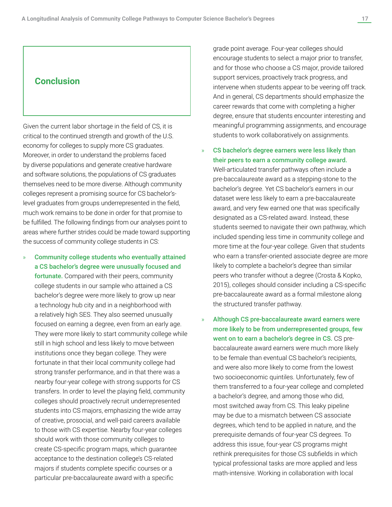### **Conclusion**

Given the current labor shortage in the field of CS, it is critical to the continued strength and growth of the U.S. economy for colleges to supply more CS graduates. Moreover, in order to understand the problems faced by diverse populations and generate creative hardware and software solutions, the populations of CS graduates themselves need to be more diverse. Although community colleges represent a promising source for CS bachelor'slevel graduates from groups underrepresented in the field, much work remains to be done in order for that promise to be fulfilled. The following findings from our analyses point to areas where further strides could be made toward supporting the success of community college students in CS:

» Community college students who eventually attained a CS bachelor's degree were unusually focused and fortunate. Compared with their peers, community college students in our sample who attained a CS bachelor's degree were more likely to grow up near a technology hub city and in a neighborhood with a relatively high SES. They also seemed unusually focused on earning a degree, even from an early age. They were more likely to start community college while still in high school and less likely to move between institutions once they began college. They were fortunate in that their local community college had strong transfer performance, and in that there was a nearby four-year college with strong supports for CS transfers. In order to level the playing field, community colleges should proactively recruit underrepresented students into CS majors, emphasizing the wide array of creative, prosocial, and well-paid careers available to those with CS expertise. Nearby four-year colleges should work with those community colleges to create CS-specific program maps, which guarantee acceptance to the destination college's CS-related majors if students complete specific courses or a particular pre-baccalaureate award with a specific

grade point average. Four-year colleges should encourage students to select a major prior to transfer, and for those who choose a CS major, provide tailored support services, proactively track progress, and intervene when students appear to be veering off track. And in general, CS departments should emphasize the career rewards that come with completing a higher degree, ensure that students encounter interesting and meaningful programming assignments, and encourage students to work collaboratively on assignments.

CS bachelor's degree earners were less likely than their peers to earn a community college award. Well-articulated transfer pathways often include a pre-baccalaureate award as a stepping-stone to the bachelor's degree. Yet CS bachelor's earners in our dataset were less likely to earn a pre-baccalaureate award, and very few earned one that was specifically designated as a CS-related award. Instead, these students seemed to navigate their own pathway, which included spending less time in community college and more time at the four-year college. Given that students who earn a transfer-oriented associate degree are more likely to complete a bachelor's degree than similar peers who transfer without a degree (Crosta & Kopko, 2015), colleges should consider including a CS-specific pre-baccalaureate award as a formal milestone along the structured transfer pathway.

Although CS pre-baccalaureate award earners were more likely to be from underrepresented groups, few went on to earn a bachelor's degree in CS. CS prebaccalaureate award earners were much more likely to be female than eventual CS bachelor's recipients, and were also more likely to come from the lowest two socioeconomic quintiles. Unfortunately, few of them transferred to a four-year college and completed a bachelor's degree, and among those who did, most switched away from CS. This leaky pipeline may be due to a mismatch between CS associate degrees, which tend to be applied in nature, and the prerequisite demands of four-year CS degrees. To address this issue, four-year CS programs might rethink prerequisites for those CS subfields in which typical professional tasks are more applied and less math-intensive. Working in collaboration with local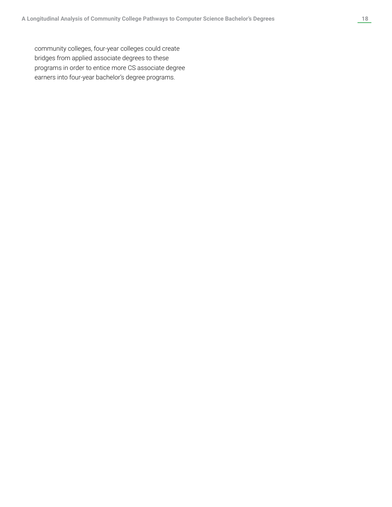community colleges, four-year colleges could create bridges from applied associate degrees to these programs in order to entice more CS associate degree earners into four-year bachelor's degree programs.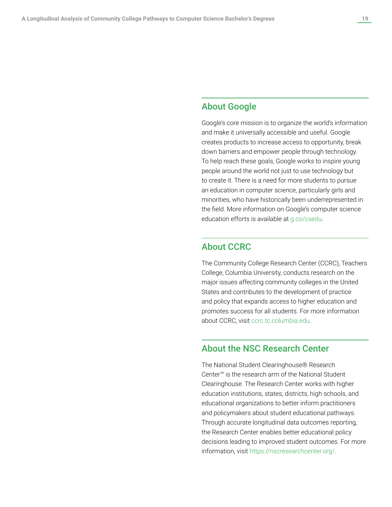# About Google

Google's core mission is to organize the world's information and make it universally accessible and useful. Google creates products to increase access to opportunity, break down barriers and empower people through technology. To help reach these goals, Google works to inspire young people around the world not just to use technology but to create it. There is a need for more students to pursue an education in computer science, particularly girls and minorities, who have historically been underrepresented in the field. More information on Google's computer science education efforts is available at [g.co/csedu.](http://g.co/csedu)

### About CCRC

The Community College Research Center (CCRC), Teachers College, Columbia University, conducts research on the major issues affecting community colleges in the United States and contributes to the development of practice and policy that expands access to higher education and promotes success for all students. For more information about CCRC, visit [ccrc.tc.columbia.edu.](http://ccrc.tc.columbia.edu)

### About the NSC Research Center

The National Student Clearinghouse® Research Center™ is the research arm of the National Student Clearinghouse. The Research Center works with higher education institutions, states, districts, high schools, and educational organizations to better inform practitioners and policymakers about student educational pathways. Through accurate longitudinal data outcomes reporting, the Research Center enables better educational policy decisions leading to improved student outcomes. For more information, visit [https://nscresearchcenter.org/](https://nscresearchcenter.org).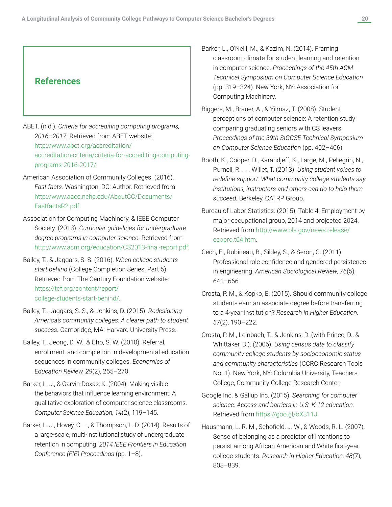### **References**

- ABET. (n.d.). *Criteria for accrediting computing programs, 2016–2017*. Retrieved from ABET website: [http://www.abet.org/accreditation/](http://www.abet.org/accreditation/accreditation-criteria/criteria-for-accrediting-computing-programs-2016-2017/) [accreditation-criteria/criteria-for-accrediting-computing](http://www.abet.org/accreditation/accreditation-criteria/criteria-for-accrediting-computing-programs-2016-2017/)[programs-2016-2017/.](http://www.abet.org/accreditation/accreditation-criteria/criteria-for-accrediting-computing-programs-2016-2017/)
- American Association of Community Colleges. (2016). *Fast facts*. Washington, DC: Author. Retrieved from [http://www.aacc.nche.edu/AboutCC/Documents/](http://www.aacc.nche.edu/AboutCC/Documents/FastfactsR2.pdf) [FastfactsR2.pdf.](http://www.aacc.nche.edu/AboutCC/Documents/FastfactsR2.pdf)
- Association for Computing Machinery, & IEEE Computer Society. (2013). *Curricular guidelines for undergraduate degree programs in computer science*. Retrieved from <http://www.acm.org/education/CS2013-final-report.pdf>.
- Bailey, T., & Jaggars, S. S. (2016). *When college students start behind* (College Completion Series: Part 5). Retrieved from The Century Foundation website: [https://tcf.org/content/report/](https://tcf.org/content/report/college-students-start-behind/) [college-students-start-behind/.](https://tcf.org/content/report/college-students-start-behind/)
- Bailey, T., Jaggars, S. S., & Jenkins, D. (2015). *Redesigning America's community colleges: A clearer path to student success.* Cambridge, MA: Harvard University Press.
- Bailey, T., Jeong, D. W., & Cho, S. W. (2010). Referral, enrollment, and completion in developmental education sequences in community colleges. *Economics of Education Review, 29*(2), 255–270.
- Barker, L. J., & Garvin-Doxas, K. (2004). Making visible the behaviors that influence learning environment: A qualitative exploration of computer science classrooms. *Computer Science Education, 14*(2), 119–145.
- Barker, L. J., Hovey, C. L., & Thompson, L. D. (2014). Results of a large-scale, multi-institutional study of undergraduate retention in computing. *2014 IEEE Frontiers in Education Conference (FIE) Proceedings* (pp. 1–8).
- Barker, L., O'Neill, M., & Kazim, N. (2014). Framing classroom climate for student learning and retention in computer science. *Proceedings of the 45th ACM Technical Symposium on Computer Science Education*  (pp. 319–324). New York, NY: Association for Computing Machinery.
- Biggers, M., Brauer, A., & Yilmaz, T. (2008). Student perceptions of computer science: A retention study comparing graduating seniors with CS leavers. *Proceedings of the 39th SIGCSE Technical Symposium on Computer Science Education* (pp. 402–406).
- Booth, K., Cooper, D., Karandjeff, K., Large, M., Pellegrin, N., Purnell, R. . . . Willet, T. (2013). *Using student voices to redefine support: What community college students say institutions, instructors and others can do to help them succeed.* Berkeley, CA: RP Group.
- Bureau of Labor Statistics. (2015). Table 4: Employment by major occupational group, 2014 and projected 2024. Retrieved from [http://www.bls.gov/news.release/](http://www.bls.gov/news.release/ecopro.t04.htm) [ecopro.t04.htm.](http://www.bls.gov/news.release/ecopro.t04.htm)
- Cech, E., Rubineau, B., Sibley, S., & Seron, C. (2011). Professional role confidence and gendered persistence in engineering. *American Sociological Review, 76*(5), 641–666.
- Crosta, P. M., & Kopko, E. (2015). Should community college students earn an associate degree before transferring to a 4-year institution? *Research in Higher Education, 57*(2), 190–222.
- Crosta, P. M., Leinbach, T., & Jenkins, D. (with Prince, D., & Whittaker, D.). (2006). *Using census data to classify community college students by socioeconomic status and community characteristics* (CCRC Research Tools No. 1). New York, NY: Columbia University, Teachers College, Community College Research Center.
- Google Inc. & Gallup Inc. (2015). *Searching for computer science: Access and barriers in U.S. K-12 education.* Retrieved from <https://goo.gl/oX311J>.
- Hausmann, L. R. M., Schofield, J. W., & Woods, R. L. (2007). Sense of belonging as a predictor of intentions to persist among African American and White first-year college students. *Research in Higher Education, 48(*7), 803–839.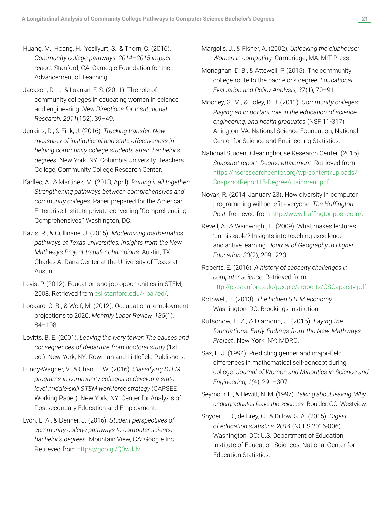- Huang, M., Hoang, H., Yesilyurt, S., & Thorn, C. (2016). *Community college pathways: 2014–2015 impact report.* Stanford, CA: Carnegie Foundation for the Advancement of Teaching.
- Jackson, D. L., & Laanan, F. S. (2011). The role of community colleges in educating women in science and engineering. *New Directions for Institutional Research, 2011*(152), 39–49.
- Jenkins, D., & Fink, J. (2016). *Tracking transfer: New measures of institutional and state effectiveness in helping community college students attain bachelor's degrees.* New York, NY: Columbia University, Teachers College, Community College Research Center.
- Kadlec, A., & Martinez, M. (2013, April). *Putting it all together: Strengthening pathways between comprehensives and community colleges.* Paper prepared for the American Enterprise Institute private convening "Comprehending Comprehensives," Washington, DC.
- Kazis, R., & Cullinane, J. (2015). *Modernizing mathematics pathways at Texas universities: Insights from the New Mathways Project transfer champions.* Austin, TX: Charles A. Dana Center at the University of Texas at Austin.
- Levis, P. (2012). Education and job opportunities in STEM, 2008. Retrieved from [csl.stanford.edu/~pal/ed/.](http://csl.stanford.edu/~pal/ed/)
- Lockard, C. B., & Wolf, M. (2012). Occupational employment projections to 2020. *Monthly Labor Review, 135*(1), 84–108.
- Lovitts, B. E. (2001). *Leaving the ivory tower: The causes and consequences of departure from doctoral study* (1st ed.). New York, NY: Rowman and Littlefield Publishers.
- Lundy-Wagner, V., & Chan, E. W. (2016). *Classifying STEM programs in community colleges to develop a statelevel middle-skill STEM workforce strategy* (CAPSEE Working Paper). New York, NY: Center for Analysis of Postsecondary Education and Employment.
- Lyon, L. A., & Denner, J. (2016). *Student perspectives of community college pathways to computer science bachelor's degrees.* Mountain View, CA: Google Inc. Retrieved from <https://goo.gl/Q0wJJv>.
- Margolis, J., & Fisher, A. (2002). *Unlocking the clubhouse: Women in computing.* Cambridge, MA: MIT Press.
- Monaghan, D. B., & Attewell, P. (2015). The community college route to the bachelor's degree. *Educational Evaluation and Policy Analysis, 37*(1), 70–91.
- Mooney, G. M., & Foley, D. J. (2011). *Community colleges: Playing an important role in the education of science, engineering, and health graduates* (NSF 11-317). Arlington, VA: National Science Foundation, National Center for Science and Engineering Statistics.
- National Student Clearinghouse Research Center. (2015). *Snapshot report: Degree attainment*. Retrieved from [https://nscresearchcenter.org/wp-content/uploads/](https://nscresearchcenter.org/wp-content/uploads/SnapshotReport15-DegreeAttainment.pdf) [SnapshotReport15-DegreeAttainment.pdf](https://nscresearchcenter.org/wp-content/uploads/SnapshotReport15-DegreeAttainment.pdf).
- Novak, R. (2014, January 23). How diversity in computer programming will benefit everyone. *The Huffington Post.* Retrieved from [http://www.huffingtonpost.com](http://www.huffingtonpost.com/)/.
- Revell, A., & Wainwright, E. (2009). What makes lectures 'unmissable'? Insights into teaching excellence and active learning. *Journal of Geography in Higher Education, 33*(2), 209–223.
- Roberts, E. (2016). *A history of capacity challenges in computer science.* Retrieved from <http://cs.stanford.edu/people/eroberts/CSCapacity.pdf>.
- Rothwell, J. (2013). *The hidden STEM economy.*  Washington, DC: Brookings Institution.
- Rutschow, E. Z., & Diamond, J. (2015). *Laying the foundations: Early findings from the New Mathways Project*. New York, NY: MDRC.
- Sax, L. J. (1994). Predicting gender and major-field differences in mathematical self-concept during college. *Journal of Women and Minorities in Science and Engineering, 1(*4), 291–307.

Seymour, E., & Hewitt, N. M. (1997). *Talking about leaving: Why undergraduates leave the sciences.* Boulder, CO: Westview.

Snyder, T. D., de Brey, C., & Dillow, S. A. (2015). *Digest of education statistics, 2014* (NCES 2016-006). Washington, DC: U.S. Department of Education, Institute of Education Sciences, National Center for Education Statistics.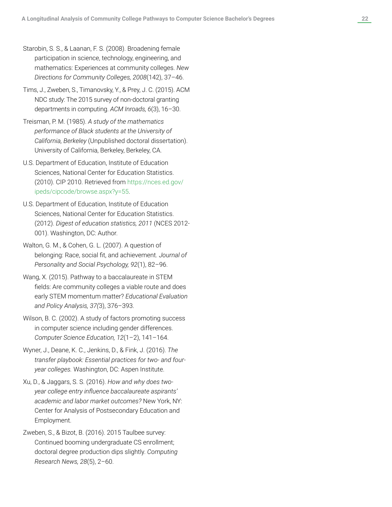- Starobin, S. S., & Laanan, F. S. (2008). Broadening female participation in science, technology, engineering, and mathematics: Experiences at community colleges. *New Directions for Community Colleges, 2008*(142), 37–46.
- Tims, J., Zweben, S., Timanovsky, Y., & Prey, J. C. (2015). ACM NDC study: The 2015 survey of non-doctoral granting departments in computing. *ACM Inroads, 6*(3), 16–30.
- Treisman, P. M. (1985). *A study of the mathematics performance of Black students at the University of California, Berkeley* (Unpublished doctoral dissertation). University of California, Berkeley, Berkeley, CA.
- U.S. Department of Education, Institute of Education Sciences, National Center for Education Statistics. (2010). CIP 2010. Retrieved from [https://nces.ed.gov/](https://nces.ed.gov/ipeds/cipcode/browse.aspx?y=55) [ipeds/cipcode/browse.aspx?y=55](https://nces.ed.gov/ipeds/cipcode/browse.aspx?y=55) .
- U.S. Department of Education, Institute of Education Sciences, National Center for Education Statistics. (2012). *Digest of education statistics, 2011* (NCES 2012- 001). Washington, DC: Author.
- Walton, G. M., & Cohen, G. L. (2007). A question of belonging: Race, social fit, and achievement. *Journal of Personality and Social Psychology, 92*(1), 82–96.
- Wang, X. (2015). Pathway to a baccalaureate in STEM fields: Are community colleges a viable route and does early STEM momentum matter? *Educational Evaluation and Policy Analysis, 37(*3), 376–393.
- Wilson, B. C. (2002). A study of factors promoting success in computer science including gender differences. *Computer Science Education, 12*(1–2), 141–164.
- Wyner, J., Deane, K. C., Jenkins, D., & Fink, J. (2016). *The transfer playbook: Essential practices for two- and fouryear colleges.* Washington, DC: Aspen Institute.
- Xu, D., & Jaggars, S. S. (2016). *How and why does twoyear college entry influence baccalaureate aspirants' academic and labor market outcomes?* New York, NY: Center for Analysis of Postsecondary Education and Employment.
- Zweben, S., & Bizot, B. (2016). 2015 Taulbee survey: Continued booming undergraduate CS enrollment; doctoral degree production dips slightly. *Computing Research News, 28*(5), 2–60.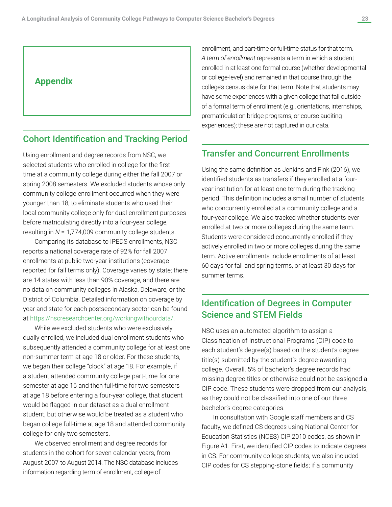# **Appendix**

### Cohort Identification and Tracking Period

Using enrollment and degree records from NSC, we selected students who enrolled in college for the first time at a community college during either the fall 2007 or spring 2008 semesters. We excluded students whose only community college enrollment occurred when they were younger than 18, to eliminate students who used their local community college only for dual enrollment purposes before matriculating directly into a four-year college, resulting in *N* = 1,774,009 community college students.

Comparing its database to IPEDS enrollments, NSC reports a national coverage rate of 92% for fall 2007 enrollments at public two-year institutions (coverage reported for fall terms only). Coverage varies by state; there are 14 states with less than 90% coverage, and there are no data on community colleges in Alaska, Delaware, or the District of Columbia. Detailed information on coverage by year and state for each postsecondary sector can be found at <https://nscresearchcenter.org/workingwithourdata/>.

While we excluded students who were exclusively dually enrolled, we included dual enrollment students who subsequently attended a community college for at least one non-summer term at age 18 or older. For these students, we began their college "clock" at age 18. For example, if a student attended community college part-time for one semester at age 16 and then full-time for two semesters at age 18 before entering a four-year college, that student would be flagged in our dataset as a dual enrollment student, but otherwise would be treated as a student who began college full-time at age 18 and attended community college for only two semesters.

We observed enrollment and degree records for students in the cohort for seven calendar years, from August 2007 to August 2014. The NSC database includes information regarding term of enrollment, college of

enrollment, and part-time or full-time status for that term. *A term of enrollment* represents a term in which a student enrolled in at least one formal course (whether developmental or college-level) and remained in that course through the college's census date for that term. Note that students may have some experiences with a given college that fall outside of a formal term of enrollment (e.g., orientations, internships, prematriculation bridge programs, or course auditing experiences); these are not captured in our data.

### Transfer and Concurrent Enrollments

Using the same definition as Jenkins and Fink (2016), we identified students as transfers if they enrolled at a fouryear institution for at least one term during the tracking period. This definition includes a small number of students who concurrently enrolled at a community college and a four-year college. We also tracked whether students ever enrolled at two or more colleges during the same term. Students were considered concurrently enrolled if they actively enrolled in two or more colleges during the same term. Active enrollments include enrollments of at least 60 days for fall and spring terms, or at least 30 days for summer terms.

# Identification of Degrees in Computer Science and STEM Fields

NSC uses an automated algorithm to assign a Classification of Instructional Programs (CIP) code to each student's degree(s) based on the student's degree title(s) submitted by the student's degree-awarding college. Overall, 5% of bachelor's degree records had missing degree titles or otherwise could not be assigned a CIP code. These students were dropped from our analysis, as they could not be classified into one of our three bachelor's degree categories.

In consultation with Google staff members and CS faculty, we defined CS degrees using National Center for Education Statistics (NCES) CIP 2010 codes, as shown in Figure A1. First, we identified CIP codes to indicate degrees in CS. For community college students, we also included CIP codes for CS stepping-stone fields; if a community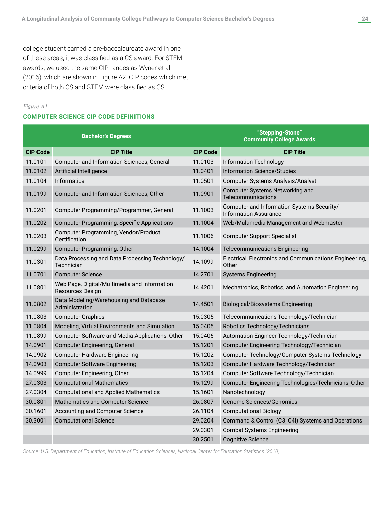college student earned a pre-baccalaureate award in one of these areas, it was classified as a CS award. For STEM awards, we used the same CIP ranges as Wyner et al. (2016), which are shown in Figure A2. CIP codes which met criteria of both CS and STEM were classified as CS.

### *Figure A1.*

### **COMPUTER SCIENCE CIP CODE DEFINITIONS**

| <b>Bachelor's Degrees</b> |                                                                         |                 | "Stepping-Stone"<br><b>Community College Awards</b>                        |
|---------------------------|-------------------------------------------------------------------------|-----------------|----------------------------------------------------------------------------|
| <b>CIP Code</b>           | <b>CIP Title</b>                                                        | <b>CIP Code</b> | <b>CIP Title</b>                                                           |
| 11.0101                   | Computer and Information Sciences, General                              | 11.0103         | <b>Information Technology</b>                                              |
| 11.0102                   | Artificial Intelligence                                                 | 11.0401         | <b>Information Science/Studies</b>                                         |
| 11.0104                   | <b>Informatics</b>                                                      | 11.0501         | <b>Computer Systems Analysis/Analyst</b>                                   |
| 11.0199                   | Computer and Information Sciences, Other                                | 11.0901         | <b>Computer Systems Networking and</b><br>Telecommunications               |
| 11.0201                   | Computer Programming/Programmer, General                                | 11.1003         | Computer and Information Systems Security/<br><b>Information Assurance</b> |
| 11.0202                   | <b>Computer Programming, Specific Applications</b>                      | 11.1004         | Web/Multimedia Management and Webmaster                                    |
| 11.0203                   | Computer Programming, Vendor/Product<br>Certification                   | 11.1006         | <b>Computer Support Specialist</b>                                         |
| 11.0299                   | Computer Programming, Other                                             | 14.1004         | <b>Telecommunications Engineering</b>                                      |
| 11.0301                   | Data Processing and Data Processing Technology/<br>Technician           | 14.1099         | Electrical, Electronics and Communications Engineering,<br>Other           |
| 11.0701                   | <b>Computer Science</b>                                                 | 14.2701         | <b>Systems Engineering</b>                                                 |
| 11.0801                   | Web Page, Digital/Multimedia and Information<br><b>Resources Design</b> | 14.4201         | Mechatronics, Robotics, and Automation Engineering                         |
| 11.0802                   | Data Modeling/Warehousing and Database<br>Administration                | 14.4501         | <b>Biological/Biosystems Engineering</b>                                   |
| 11.0803                   | <b>Computer Graphics</b>                                                | 15.0305         | Telecommunications Technology/Technician                                   |
| 11.0804                   | Modeling, Virtual Environments and Simulation                           | 15.0405         | Robotics Technology/Technicians                                            |
| 11.0899                   | Computer Software and Media Applications, Other                         | 15.0406         | Automation Engineer Technology/Technician                                  |
| 14.0901                   | <b>Computer Engineering, General</b>                                    | 15.1201         | Computer Engineering Technology/Technician                                 |
| 14.0902                   | <b>Computer Hardware Engineering</b>                                    | 15.1202         | Computer Technology/Computer Systems Technology                            |
| 14.0903                   | <b>Computer Software Engineering</b>                                    | 15.1203         | Computer Hardware Technology/Technician                                    |
| 14.0999                   | Computer Engineering, Other                                             | 15.1204         | Computer Software Technology/Technician                                    |
| 27.0303                   | <b>Computational Mathematics</b>                                        | 15.1299         | Computer Engineering Technologies/Technicians, Other                       |
| 27.0304                   | <b>Computational and Applied Mathematics</b>                            | 15.1601         | Nanotechnology                                                             |
| 30.0801                   | Mathematics and Computer Science                                        | 26.0807         | <b>Genome Sciences/Genomics</b>                                            |
| 30.1601                   | <b>Accounting and Computer Science</b>                                  | 26.1104         | <b>Computational Biology</b>                                               |
| 30.3001                   | <b>Computational Science</b>                                            | 29.0204         | Command & Control (C3, C4I) Systems and Operations                         |
|                           |                                                                         | 29.0301         | <b>Combat Systems Engineering</b>                                          |
|                           |                                                                         | 30.2501         | <b>Cognitive Science</b>                                                   |

*Source: U.S. Department of Education, Institute of Education Sciences, National Center for Education Statistics (2010).*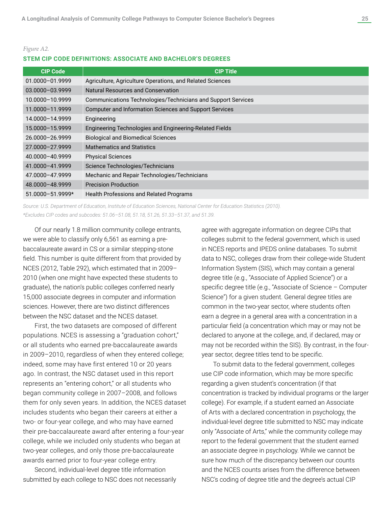#### *Figure A2.*

#### **STEM CIP CODE DEFINITIONS: ASSOCIATE AND BACHELOR'S DEGREES**

| <b>CIP Code</b>      | <b>CIP Title</b>                                              |
|----------------------|---------------------------------------------------------------|
| 01.0000-01.9999      | Agriculture, Agriculture Operations, and Related Sciences     |
| 03.0000-03.9999      | Natural Resources and Conservation                            |
| 10.0000-10.9999      | Communications Technologies/Technicians and Support Services  |
| 11.0000-11.9999      | <b>Computer and Information Sciences and Support Services</b> |
| 14.0000-14.9999      | Engineering                                                   |
| 15.0000-15.9999      | Engineering Technologies and Engineering-Related Fields       |
| 26.0000-26.9999      | <b>Biological and Biomedical Sciences</b>                     |
| 27.0000-27.9999      | <b>Mathematics and Statistics</b>                             |
| 40.0000-40.9999      | <b>Physical Sciences</b>                                      |
| 41.0000-41.9999      | Science Technologies/Technicians                              |
| 47.0000-47.9999      | Mechanic and Repair Technologies/Technicians                  |
| 48.0000-48.9999      | <b>Precision Production</b>                                   |
| $51.0000 - 51.9999*$ | <b>Health Professions and Related Programs</b>                |

*Source: U.S. Department of Education, Institute of Education Sciences, National Center for Education Statistics (2010). \*Excludes CIP codes and subcodes: 51.06–51.08, 51.18, 51.26, 51.33–51.37, and 51.39.*

Of our nearly 1.8 million community college entrants, we were able to classify only 6,561 as earning a prebaccalaureate award in CS or a similar stepping-stone field. This number is quite different from that provided by NCES (2012, Table 292), which estimated that in 2009– 2010 (when one might have expected these students to graduate), the nation's public colleges conferred nearly 15,000 associate degrees in computer and information sciences. However, there are two distinct differences between the NSC dataset and the NCES dataset.

First, the two datasets are composed of different populations. NCES is assessing a "graduation cohort," or all students who earned pre-baccalaureate awards in 2009–2010, regardless of when they entered college; indeed, some may have first entered 10 or 20 years ago. In contrast, the NSC dataset used in this report represents an "entering cohort," or all students who began community college in 2007–2008, and follows them for only seven years. In addition, the NCES dataset includes students who began their careers at either a two- or four-year college, and who may have earned their pre-baccalaureate award after entering a four-year college, while we included only students who began at two-year colleges, and only those pre-baccalaureate awards earned prior to four-year college entry.

Second, individual-level degree title information submitted by each college to NSC does not necessarily agree with aggregate information on degree CIPs that colleges submit to the federal government, which is used in NCES reports and IPEDS online databases. To submit data to NSC, colleges draw from their college-wide Student Information System (SIS), which may contain a general degree title (e.g., "Associate of Applied Science") or a specific degree title (e.g., "Associate of Science – Computer Science") for a given student. General degree titles are common in the two-year sector, where students often earn a degree in a general area with a concentration in a particular field (a concentration which may or may not be declared to anyone at the college, and, if declared, may or may not be recorded within the SIS). By contrast, in the fouryear sector, degree titles tend to be specific.

To submit data to the federal government, colleges use CIP code information, which may be more specific regarding a given student's concentration (if that concentration is tracked by individual programs or the larger college). For example, if a student earned an Associate of Arts with a declared concentration in psychology, the individual-level degree title submitted to NSC may indicate only "Associate of Arts," while the community college may report to the federal government that the student earned an associate degree in psychology. While we cannot be sure how much of the discrepancy between our counts and the NCES counts arises from the difference between NSC's coding of degree title and the degree's actual CIP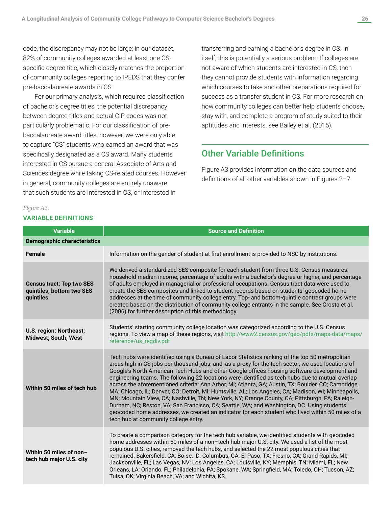code, the discrepancy may not be large; in our dataset, 82% of community colleges awarded at least one CSspecific degree title, which closely matches the proportion of community colleges reporting to IPEDS that they confer pre-baccalaureate awards in CS.

For our primary analysis, which required classification of bachelor's degree titles, the potential discrepancy between degree titles and actual CIP codes was not particularly problematic. For our classification of prebaccalaureate award titles, however, we were only able to capture "CS" students who earned an award that was specifically designated as a CS award. Many students interested in CS pursue a general Associate of Arts and Sciences degree while taking CS-related courses. However, in general, community colleges are entirely unaware that such students are interested in CS, or interested in

#### *Figure A3.*

#### **VARIABLE DEFINITIONS**

transferring and earning a bachelor's degree in CS. In itself, this is potentially a serious problem: If colleges are not aware of which students are interested in CS, then they cannot provide students with information regarding which courses to take and other preparations required for success as a transfer student in CS. For more research on how community colleges can better help students choose, stay with, and complete a program of study suited to their aptitudes and interests, see Bailey et al. (2015).

### Other Variable Definitions

Figure A3 provides information on the data sources and definitions of all other variables shown in Figures 2–7.

| <b>Variable</b>                                                            | <b>Source and Definition</b>                                                                                                                                                                                                                                                                                                                                                                                                                                                                                                                                                                                                                                                                                                                                                                                                                                                                                                                                          |
|----------------------------------------------------------------------------|-----------------------------------------------------------------------------------------------------------------------------------------------------------------------------------------------------------------------------------------------------------------------------------------------------------------------------------------------------------------------------------------------------------------------------------------------------------------------------------------------------------------------------------------------------------------------------------------------------------------------------------------------------------------------------------------------------------------------------------------------------------------------------------------------------------------------------------------------------------------------------------------------------------------------------------------------------------------------|
| <b>Demographic characteristics</b>                                         |                                                                                                                                                                                                                                                                                                                                                                                                                                                                                                                                                                                                                                                                                                                                                                                                                                                                                                                                                                       |
| <b>Female</b>                                                              | Information on the gender of student at first enrollment is provided to NSC by institutions.                                                                                                                                                                                                                                                                                                                                                                                                                                                                                                                                                                                                                                                                                                                                                                                                                                                                          |
| <b>Census tract: Top two SES</b><br>quintiles; bottom two SES<br>quintiles | We derived a standardized SES composite for each student from three U.S. Census measures:<br>household median income, percentage of adults with a bachelor's degree or higher, and percentage<br>of adults employed in managerial or professional occupations. Census tract data were used to<br>create the SES composites and linked to student records based on students' geocoded home<br>addresses at the time of community college entry. Top- and bottom-quintile contrast groups were<br>created based on the distribution of community college entrants in the sample. See Crosta et al.<br>(2006) for further description of this methodology.                                                                                                                                                                                                                                                                                                               |
| U.S. region: Northeast;<br><b>Midwest; South; West</b>                     | Students' starting community college location was categorized according to the U.S. Census<br>regions. To view a map of these regions, visit http://www2.census.gov/geo/pdfs/maps-data/maps/<br>reference/us_regdiv.pdf                                                                                                                                                                                                                                                                                                                                                                                                                                                                                                                                                                                                                                                                                                                                               |
| Within 50 miles of tech hub                                                | Tech hubs were identified using a Bureau of Labor Statistics ranking of the top 50 metropolitan<br>areas high in CS jobs per thousand jobs, and, as a proxy for the tech sector, we used locations of<br>Google's North American Tech Hubs and other Google offices housing software development and<br>engineering teams. The following 22 locations were identified as tech hubs due to mutual overlap<br>across the aforementioned criteria: Ann Arbor, MI; Atlanta, GA; Austin, TX; Boulder, CO; Cambridge,<br>MA; Chicago, IL; Denver, CO; Detroit, MI; Huntsville, AL; Los Angeles, CA; Madison, WI; Minneapolis,<br>MN; Mountain View, CA; Nashville, TN; New York, NY; Orange County, CA; Pittsburgh, PA; Raleigh-<br>Durham, NC; Reston, VA; San Francisco, CA; Seattle, WA; and Washington, DC. Using students'<br>geocoded home addresses, we created an indicator for each student who lived within 50 miles of a<br>tech hub at community college entry. |
| Within 50 miles of non-<br>tech hub major U.S. city                        | To create a comparison category for the tech hub variable, we identified students with geocoded<br>home addresses within 50 miles of a non-tech hub major U.S. city. We used a list of the most<br>populous U.S. cities, removed the tech hubs, and selected the 22 most populous cities that<br>remained: Bakersfield, CA; Boise, ID; Columbus, GA; El Paso, TX; Fresno, CA; Grand Rapids, MI;<br>Jacksonville, FL; Las Vegas, NV; Los Angeles, CA; Louisville, KY; Memphis, TN; Miami, FL; New<br>Orleans, LA; Orlando, FL; Philadelphia, PA; Spokane, WA; Springfield, MA; Toledo, OH; Tucson, AZ;<br>Tulsa, OK; Virginia Beach, VA; and Wichita, KS.                                                                                                                                                                                                                                                                                                              |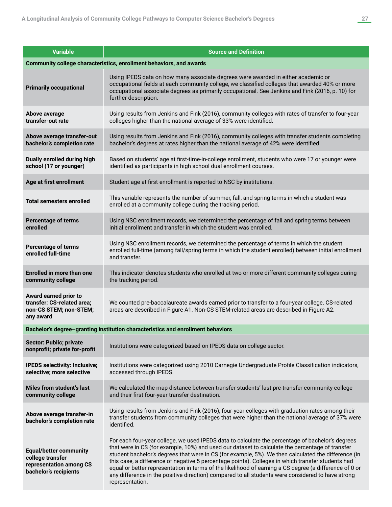| <b>Variable</b>                                                                                       | <b>Source and Definition</b>                                                                                                                                                                                                                                                                                                                                                                                                                                                                                                                                                                                                                      |
|-------------------------------------------------------------------------------------------------------|---------------------------------------------------------------------------------------------------------------------------------------------------------------------------------------------------------------------------------------------------------------------------------------------------------------------------------------------------------------------------------------------------------------------------------------------------------------------------------------------------------------------------------------------------------------------------------------------------------------------------------------------------|
|                                                                                                       | Community college characteristics, enrollment behaviors, and awards                                                                                                                                                                                                                                                                                                                                                                                                                                                                                                                                                                               |
| <b>Primarily occupational</b>                                                                         | Using IPEDS data on how many associate degrees were awarded in either academic or<br>occupational fields at each community college, we classified colleges that awarded 40% or more<br>occupational associate degrees as primarily occupational. See Jenkins and Fink (2016, p. 10) for<br>further description.                                                                                                                                                                                                                                                                                                                                   |
| Above average<br>transfer-out rate                                                                    | Using results from Jenkins and Fink (2016), community colleges with rates of transfer to four-year<br>colleges higher than the national average of 33% were identified.                                                                                                                                                                                                                                                                                                                                                                                                                                                                           |
| Above average transfer-out<br>bachelor's completion rate                                              | Using results from Jenkins and Fink (2016), community colleges with transfer students completing<br>bachelor's degrees at rates higher than the national average of 42% were identified.                                                                                                                                                                                                                                                                                                                                                                                                                                                          |
| Dually enrolled during high<br>school (17 or younger)                                                 | Based on students' age at first-time-in-college enrollment, students who were 17 or younger were<br>identified as participants in high school dual enrollment courses.                                                                                                                                                                                                                                                                                                                                                                                                                                                                            |
| Age at first enrollment                                                                               | Student age at first enrollment is reported to NSC by institutions.                                                                                                                                                                                                                                                                                                                                                                                                                                                                                                                                                                               |
| <b>Total semesters enrolled</b>                                                                       | This variable represents the number of summer, fall, and spring terms in which a student was<br>enrolled at a community college during the tracking period.                                                                                                                                                                                                                                                                                                                                                                                                                                                                                       |
| <b>Percentage of terms</b><br>enrolled                                                                | Using NSC enrollment records, we determined the percentage of fall and spring terms between<br>initial enrollment and transfer in which the student was enrolled.                                                                                                                                                                                                                                                                                                                                                                                                                                                                                 |
| <b>Percentage of terms</b><br>enrolled full-time                                                      | Using NSC enrollment records, we determined the percentage of terms in which the student<br>enrolled full-time (among fall/spring terms in which the student enrolled) between initial enrollment<br>and transfer.                                                                                                                                                                                                                                                                                                                                                                                                                                |
| <b>Enrolled in more than one</b><br>community college                                                 | This indicator denotes students who enrolled at two or more different community colleges during<br>the tracking period.                                                                                                                                                                                                                                                                                                                                                                                                                                                                                                                           |
| Award earned prior to<br>transfer: CS-related area;<br>non-CS STEM; non-STEM;<br>any award            | We counted pre-baccalaureate awards earned prior to transfer to a four-year college. CS-related<br>areas are described in Figure A1. Non-CS STEM-related areas are described in Figure A2.                                                                                                                                                                                                                                                                                                                                                                                                                                                        |
|                                                                                                       | Bachelor's degree-granting institution characteristics and enrollment behaviors                                                                                                                                                                                                                                                                                                                                                                                                                                                                                                                                                                   |
| <b>Sector: Public; private</b><br>nonprofit; private for-profit                                       | Institutions were categorized based on IPEDS data on college sector.                                                                                                                                                                                                                                                                                                                                                                                                                                                                                                                                                                              |
| <b>IPEDS selectivity: Inclusive;</b><br>selective; more selective                                     | Institutions were categorized using 2010 Carnegie Undergraduate Profile Classification indicators,<br>accessed through IPEDS.                                                                                                                                                                                                                                                                                                                                                                                                                                                                                                                     |
| <b>Miles from student's last</b><br>community college                                                 | We calculated the map distance between transfer students' last pre-transfer community college<br>and their first four-year transfer destination.                                                                                                                                                                                                                                                                                                                                                                                                                                                                                                  |
| Above average transfer-in<br>bachelor's completion rate                                               | Using results from Jenkins and Fink (2016), four-year colleges with graduation rates among their<br>transfer students from community colleges that were higher than the national average of 37% were<br>identified.                                                                                                                                                                                                                                                                                                                                                                                                                               |
| <b>Equal/better community</b><br>college transfer<br>representation among CS<br>bachelor's recipients | For each four-year college, we used IPEDS data to calculate the percentage of bachelor's degrees<br>that were in CS (for example, 10%) and used our dataset to calculate the percentage of transfer<br>student bachelor's degrees that were in CS (for example, 5%). We then calculated the difference (in<br>this case, a difference of negative 5 percentage points). Colleges in which transfer students had<br>equal or better representation in terms of the likelihood of earning a CS degree (a difference of 0 or<br>any difference in the positive direction) compared to all students were considered to have strong<br>representation. |